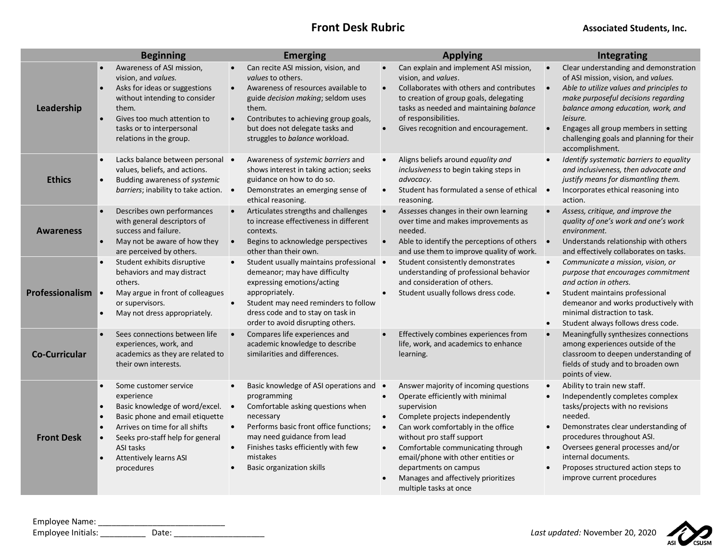## **Front Desk Rubric Associated Students, Inc.**

|                      | <b>Beginning</b>                                                                                                                                                                                                                           | <b>Emerging</b>                                                                                                                                                                                                                                                                                    | <b>Applying</b>                                                                                                                                                                                                                                                                                                                                                                                            | Integrating                                                                                                                                                                                                                                                                                                                                   |
|----------------------|--------------------------------------------------------------------------------------------------------------------------------------------------------------------------------------------------------------------------------------------|----------------------------------------------------------------------------------------------------------------------------------------------------------------------------------------------------------------------------------------------------------------------------------------------------|------------------------------------------------------------------------------------------------------------------------------------------------------------------------------------------------------------------------------------------------------------------------------------------------------------------------------------------------------------------------------------------------------------|-----------------------------------------------------------------------------------------------------------------------------------------------------------------------------------------------------------------------------------------------------------------------------------------------------------------------------------------------|
| Leadership           | Awareness of ASI mission,<br>vision, and values.<br>Asks for ideas or suggestions<br>without intending to consider<br>them.<br>Gives too much attention to<br>tasks or to interpersonal<br>relations in the group.                         | Can recite ASI mission, vision, and<br>values to others.<br>Awareness of resources available to<br>guide decision making; seldom uses<br>them.<br>Contributes to achieving group goals,<br>but does not delegate tasks and<br>struggles to balance workload.                                       | Can explain and implement ASI mission,<br>vision, and values.<br>Collaborates with others and contributes<br>$\bullet$<br>to creation of group goals, delegating<br>tasks as needed and maintaining balance<br>of responsibilities.<br>Gives recognition and encouragement.                                                                                                                                | Clear understanding and demonstration<br>of ASI mission, vision, and values.<br>Able to utilize values and principles to<br>$\bullet$<br>make purposeful decisions regarding<br>balance among education, work, and<br>leisure.<br>Engages all group members in setting<br>challenging goals and planning for their<br>accomplishment.         |
| <b>Ethics</b>        | Lacks balance between personal .<br>values, beliefs, and actions.<br>Budding awareness of systemic<br>barriers; inability to take action.                                                                                                  | Awareness of systemic barriers and<br>shows interest in taking action; seeks<br>guidance on how to do so.<br>Demonstrates an emerging sense of<br>$\bullet$<br>ethical reasoning.                                                                                                                  | Aligns beliefs around equality and<br>inclusiveness to begin taking steps in<br>advocacy.<br>Student has formulated a sense of ethical<br>$\bullet$<br>reasoning.                                                                                                                                                                                                                                          | Identify systematic barriers to equality<br>and inclusiveness, then advocate and<br>justify means for dismantling them.<br>Incorporates ethical reasoning into<br>$\bullet$<br>action.                                                                                                                                                        |
| <b>Awareness</b>     | Describes own performances<br>with general descriptors of<br>success and failure.<br>May not be aware of how they<br>are perceived by others.                                                                                              | Articulates strengths and challenges<br>$\bullet$<br>to increase effectiveness in different<br>contexts.<br>Begins to acknowledge perspectives<br>other than their own.                                                                                                                            | Assesses changes in their own learning<br>$\bullet$<br>over time and makes improvements as<br>needed.<br>Able to identify the perceptions of others •<br>and use them to improve quality of work.                                                                                                                                                                                                          | Assess, critique, and improve the<br>quality of one's work and one's work<br>environment.<br>Understands relationship with others<br>and effectively collaborates on tasks.                                                                                                                                                                   |
| Professionalism      | Student exhibits disruptive<br>behaviors and may distract<br>others.<br>May argue in front of colleagues<br>or supervisors.<br>May not dress appropriately.                                                                                | Student usually maintains professional •<br>demeanor; may have difficulty<br>expressing emotions/acting<br>appropriately.<br>Student may need reminders to follow<br>dress code and to stay on task in<br>order to avoid disrupting others.                                                        | Student consistently demonstrates<br>understanding of professional behavior<br>and consideration of others.<br>Student usually follows dress code.                                                                                                                                                                                                                                                         | Communicate a mission, vision, or<br>purpose that encourages commitment<br>and action in others.<br>Student maintains professional<br>demeanor and works productively with<br>minimal distraction to task.<br>Student always follows dress code.                                                                                              |
| <b>Co-Curricular</b> | Sees connections between life<br>experiences, work, and<br>academics as they are related to<br>their own interests.                                                                                                                        | Compares life experiences and<br>academic knowledge to describe<br>similarities and differences.                                                                                                                                                                                                   | Effectively combines experiences from<br>life, work, and academics to enhance<br>learning.                                                                                                                                                                                                                                                                                                                 | Meaningfully synthesizes connections<br>among experiences outside of the<br>classroom to deepen understanding of<br>fields of study and to broaden own<br>points of view.                                                                                                                                                                     |
| <b>Front Desk</b>    | Some customer service<br>experience<br>Basic knowledge of word/excel.<br>Basic phone and email etiquette<br>Arrives on time for all shifts<br>Seeks pro-staff help for general<br>ASI tasks<br><b>Attentively learns ASI</b><br>procedures | Basic knowledge of ASI operations and •<br>programming<br>Comfortable asking questions when<br>$\bullet$<br>necessary<br>Performs basic front office functions;<br>$\bullet$<br>may need guidance from lead<br>Finishes tasks efficiently with few<br>mistakes<br><b>Basic organization skills</b> | Answer majority of incoming questions<br>Operate efficiently with minimal<br>supervision<br>Complete projects independently<br>$\bullet$<br>Can work comfortably in the office<br>$\bullet$<br>without pro staff support<br>Comfortable communicating through<br>$\bullet$<br>email/phone with other entities or<br>departments on campus<br>Manages and affectively prioritizes<br>multiple tasks at once | Ability to train new staff.<br>Independently completes complex<br>tasks/projects with no revisions<br>needed.<br>Demonstrates clear understanding of<br>$\bullet$<br>procedures throughout ASI.<br>Oversees general processes and/or<br>$\bullet$<br>internal documents.<br>Proposes structured action steps to<br>improve current procedures |